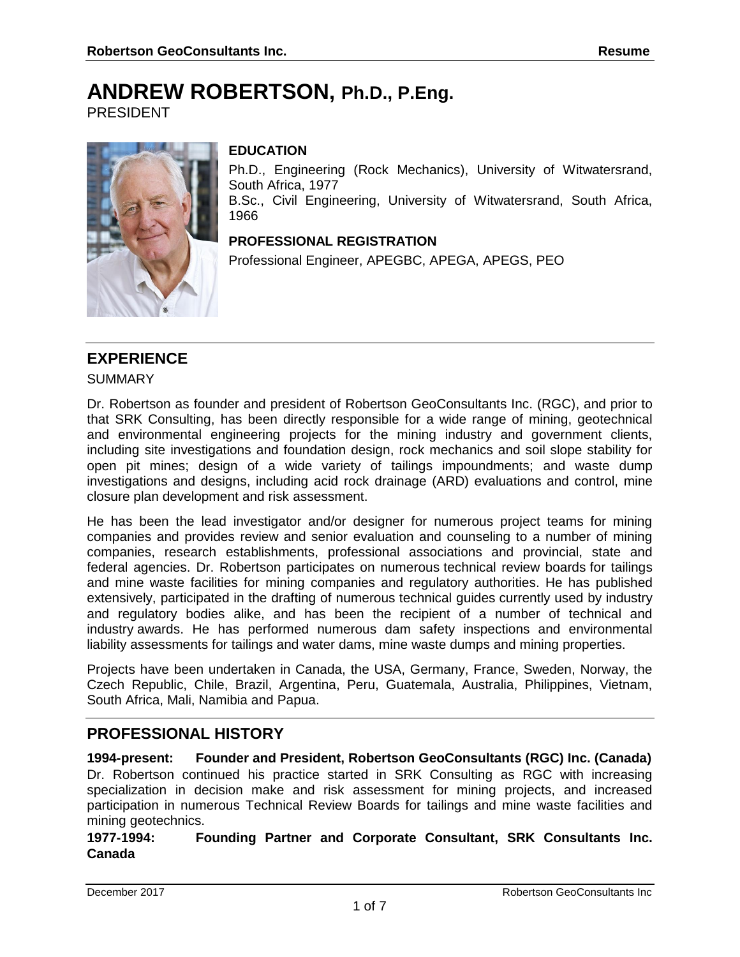# **ANDREW ROBERTSON, Ph.D., P.Eng.**

PRESIDENT



### **EDUCATION**

Ph.D., Engineering (Rock Mechanics), University of Witwatersrand, South Africa, 1977

B.Sc., Civil Engineering, University of Witwatersrand, South Africa, 1966

### **PROFESSIONAL REGISTRATION**

Professional Engineer, APEGBC, APEGA, APEGS, PEO

## **EXPERIENCE**

**SUMMARY** 

Dr. Robertson as founder and president of Robertson GeoConsultants Inc. (RGC), and prior to that SRK Consulting, has been directly responsible for a wide range of mining, geotechnical and environmental engineering projects for the mining industry and government clients, including site investigations and foundation design, rock mechanics and soil slope stability for open pit mines; design of a wide variety of tailings impoundments; and waste dump investigations and designs, including acid rock drainage (ARD) evaluations and control, mine closure plan development and risk assessment.

He has been the lead investigator and/or designer for numerous project teams for mining companies and provides review and senior evaluation and counseling to a number of mining companies, research establishments, professional associations and provincial, state and federal agencies. Dr. Robertson participates on numerous [technical review boards](http://www.rgc.ca/index.php?page=page&id=22) for tailings and mine waste facilities for mining companies and regulatory authorities. He has [published](http://www.rgc.ca/index.php?page=publications)  [extensively,](http://www.rgc.ca/index.php?page=publications) participated in the drafting of numerous [technical guides](http://www.rgc.ca/index.php?page=page&id=23) currently used by industry and regulatory bodies alike, and has been the recipient of a number of technical and industry [awards.](http://www.rgc.ca/index.php?page=page&id=21) He has performed numerous dam safety inspections and environmental liability assessments for tailings and water dams, mine waste dumps and mining properties.

Projects have been undertaken in Canada, the USA, Germany, France, Sweden, Norway, the Czech Republic, Chile, Brazil, Argentina, Peru, Guatemala, Australia, Philippines, Vietnam, South Africa, Mali, Namibia and Papua.

## **PROFESSIONAL HISTORY**

**1994-present: Founder and President, Robertson GeoConsultants (RGC) Inc. (Canada)** Dr. Robertson continued his practice started in SRK Consulting as RGC with increasing specialization in decision make and risk assessment for mining projects, and increased participation in numerous Technical Review Boards for tailings and mine waste facilities and mining geotechnics.

**1977-1994: Founding Partner and Corporate Consultant, SRK Consultants Inc. Canada**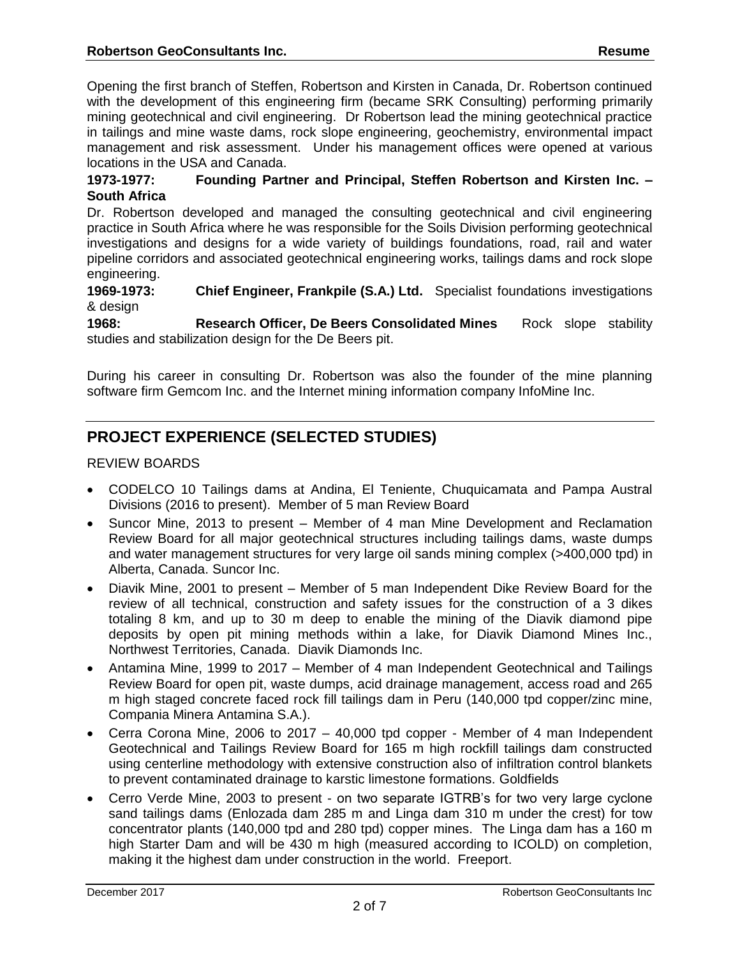Opening the first branch of Steffen, Robertson and Kirsten in Canada, Dr. Robertson continued with the development of this engineering firm (became SRK Consulting) performing primarily mining geotechnical and civil engineering. Dr Robertson lead the mining geotechnical practice in tailings and mine waste dams, rock slope engineering, geochemistry, environmental impact management and risk assessment. Under his management offices were opened at various locations in the USA and Canada.

### **1973-1977: Founding Partner and Principal, Steffen Robertson and Kirsten Inc. – South Africa**

Dr. Robertson developed and managed the consulting geotechnical and civil engineering practice in South Africa where he was responsible for the Soils Division performing geotechnical investigations and designs for a wide variety of buildings foundations, road, rail and water pipeline corridors and associated geotechnical engineering works, tailings dams and rock slope engineering.

**1969-1973: Chief Engineer, Frankpile (S.A.) Ltd.** Specialist foundations investigations & design

**1968: Research Officer, De Beers Consolidated Mines** Rock slope stability studies and stabilization design for the De Beers pit.

During his career in consulting Dr. Robertson was also the founder of the mine planning software firm Gemcom Inc. and the Internet mining information company InfoMine Inc.

# **PROJECT EXPERIENCE (SELECTED STUDIES)**

### REVIEW BOARDS

- CODELCO 10 Tailings dams at Andina, El Teniente, Chuquicamata and Pampa Austral Divisions (2016 to present). Member of 5 man Review Board
- Suncor Mine, 2013 to present Member of 4 man Mine Development and Reclamation Review Board for all major geotechnical structures including tailings dams, waste dumps and water management structures for very large oil sands mining complex (>400,000 tpd) in Alberta, Canada. Suncor Inc.
- Diavik Mine, 2001 to present Member of 5 man Independent Dike Review Board for the review of all technical, construction and safety issues for the construction of a 3 dikes totaling 8 km, and up to 30 m deep to enable the mining of the Diavik diamond pipe deposits by open pit mining methods within a lake, for Diavik Diamond Mines Inc., Northwest Territories, Canada. Diavik Diamonds Inc.
- Antamina Mine, 1999 to 2017 Member of 4 man Independent Geotechnical and Tailings Review Board for open pit, waste dumps, acid drainage management, access road and 265 m high staged concrete faced rock fill tailings dam in Peru (140,000 tpd copper/zinc mine, Compania Minera Antamina S.A.).
- Cerra Corona Mine, 2006 to 2017 40,000 tpd copper Member of 4 man Independent Geotechnical and Tailings Review Board for 165 m high rockfill tailings dam constructed using centerline methodology with extensive construction also of infiltration control blankets to prevent contaminated drainage to karstic limestone formations. Goldfields
- Cerro Verde Mine, 2003 to present on two separate IGTRB's for two very large cyclone sand tailings dams (Enlozada dam 285 m and Linga dam 310 m under the crest) for tow concentrator plants (140,000 tpd and 280 tpd) copper mines. The Linga dam has a 160 m high Starter Dam and will be 430 m high (measured according to ICOLD) on completion, making it the highest dam under construction in the world. Freeport.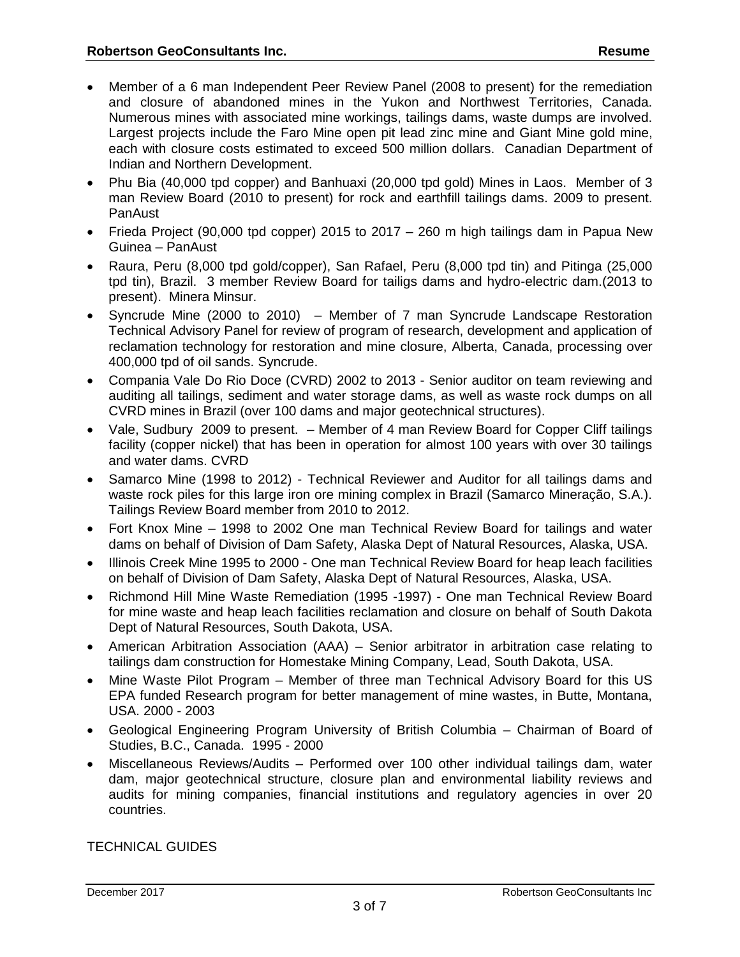- Member of a 6 man Independent Peer Review Panel (2008 to present) for the remediation and closure of abandoned mines in the Yukon and Northwest Territories, Canada. Numerous mines with associated mine workings, tailings dams, waste dumps are involved. Largest projects include the Faro Mine open pit lead zinc mine and Giant Mine gold mine, each with closure costs estimated to exceed 500 million dollars. Canadian Department of Indian and Northern Development.
- Phu Bia (40,000 tpd copper) and Banhuaxi (20,000 tpd gold) Mines in Laos. Member of 3 man Review Board (2010 to present) for rock and earthfill tailings dams. 2009 to present. PanAust
- Frieda Project (90,000 tpd copper) 2015 to 2017 260 m high tailings dam in Papua New Guinea – PanAust
- Raura, Peru (8,000 tpd gold/copper), San Rafael, Peru (8,000 tpd tin) and Pitinga (25,000 tpd tin), Brazil. 3 member Review Board for tailigs dams and hydro-electric dam.(2013 to present). Minera Minsur.
- Syncrude Mine (2000 to 2010) Member of 7 man Syncrude Landscape Restoration Technical Advisory Panel for review of program of research, development and application of reclamation technology for restoration and mine closure, Alberta, Canada, processing over 400,000 tpd of oil sands. Syncrude.
- Compania Vale Do Rio Doce (CVRD) 2002 to 2013 Senior auditor on team reviewing and auditing all tailings, sediment and water storage dams, as well as waste rock dumps on all CVRD mines in Brazil (over 100 dams and major geotechnical structures).
- Vale, Sudbury 2009 to present. Member of 4 man Review Board for Copper Cliff tailings facility (copper nickel) that has been in operation for almost 100 years with over 30 tailings and water dams. CVRD
- Samarco Mine (1998 to 2012) Technical Reviewer and Auditor for all tailings dams and waste rock piles for this large iron ore mining complex in Brazil (Samarco Mineração, S.A.). Tailings Review Board member from 2010 to 2012.
- Fort Knox Mine 1998 to 2002 One man Technical Review Board for tailings and water dams on behalf of Division of Dam Safety, Alaska Dept of Natural Resources, Alaska, USA.
- Illinois Creek Mine 1995 to 2000 One man Technical Review Board for heap leach facilities on behalf of Division of Dam Safety, Alaska Dept of Natural Resources, Alaska, USA.
- Richmond Hill Mine Waste Remediation (1995 -1997) One man Technical Review Board for mine waste and heap leach facilities reclamation and closure on behalf of South Dakota Dept of Natural Resources, South Dakota, USA.
- American Arbitration Association (AAA) Senior arbitrator in arbitration case relating to tailings dam construction for Homestake Mining Company, Lead, South Dakota, USA.
- Mine Waste Pilot Program Member of three man Technical Advisory Board for this US EPA funded Research program for better management of mine wastes, in Butte, Montana, USA. 2000 - 2003
- Geological Engineering Program University of British Columbia Chairman of Board of Studies, B.C., Canada. 1995 - 2000
- Miscellaneous Reviews/Audits Performed over 100 other individual tailings dam, water dam, major geotechnical structure, closure plan and environmental liability reviews and audits for mining companies, financial institutions and regulatory agencies in over 20 countries.

TECHNICAL GUIDES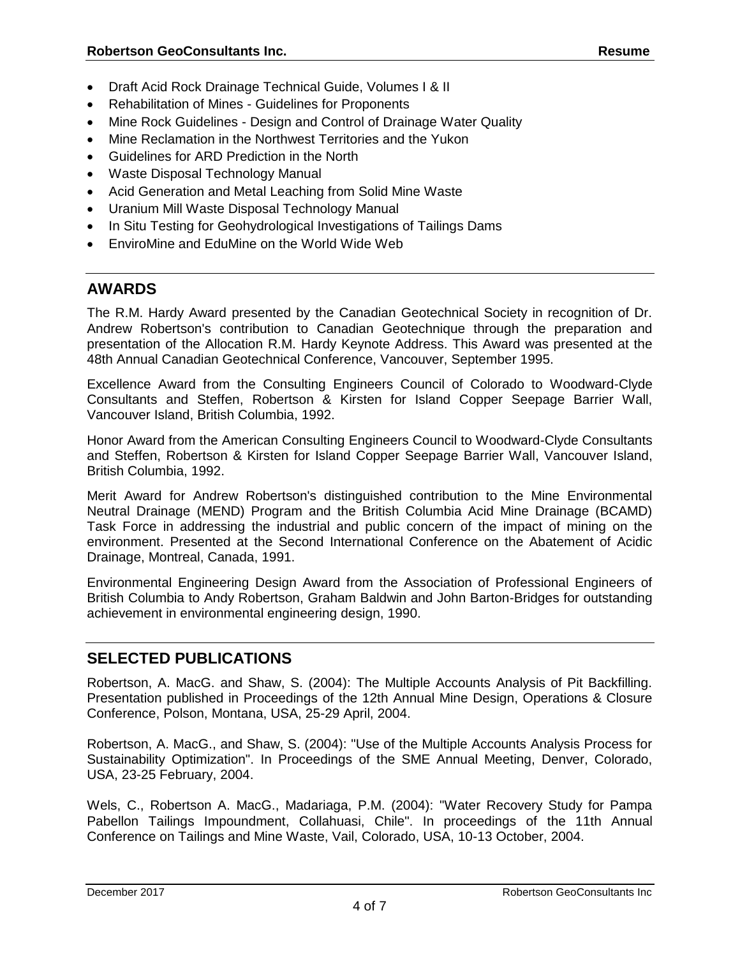- Draft Acid Rock Drainage Technical Guide, Volumes I & II
- Rehabilitation of Mines Guidelines for Proponents
- Mine Rock Guidelines Design and Control of Drainage Water Quality
- Mine Reclamation in the Northwest Territories and the Yukon
- Guidelines for ARD Prediction in the North
- Waste Disposal Technology Manual
- Acid Generation and Metal Leaching from Solid Mine Waste
- Uranium Mill Waste Disposal Technology Manual
- In Situ Testing for Geohydrological Investigations of Tailings Dams
- EnviroMine and EduMine on the World Wide Web

# **AWARDS**

The R.M. Hardy Award presented by the Canadian Geotechnical Society in recognition of Dr. Andrew Robertson's contribution to Canadian Geotechnique through the preparation and presentation of the Allocation R.M. Hardy Keynote Address. This Award was presented at the 48th Annual Canadian Geotechnical Conference, Vancouver, September 1995.

Excellence Award from the Consulting Engineers Council of Colorado to Woodward-Clyde Consultants and Steffen, Robertson & Kirsten for Island Copper Seepage Barrier Wall, Vancouver Island, British Columbia, 1992.

Honor Award from the American Consulting Engineers Council to Woodward-Clyde Consultants and Steffen, Robertson & Kirsten for Island Copper Seepage Barrier Wall, Vancouver Island, British Columbia, 1992.

Merit Award for Andrew Robertson's distinguished contribution to the Mine Environmental Neutral Drainage (MEND) Program and the British Columbia Acid Mine Drainage (BCAMD) Task Force in addressing the industrial and public concern of the impact of mining on the environment. Presented at the Second International Conference on the Abatement of Acidic Drainage, Montreal, Canada, 1991.

Environmental Engineering Design Award from the Association of Professional Engineers of British Columbia to Andy Robertson, Graham Baldwin and John Barton-Bridges for outstanding achievement in environmental engineering design, 1990.

# **SELECTED PUBLICATIONS**

Robertson, A. MacG. and Shaw, S. (2004): The Multiple Accounts Analysis of Pit Backfilling. Presentation published in Proceedings of the 12th Annual Mine Design, Operations & Closure Conference, Polson, Montana, USA, 25-29 April, 2004.

Robertson, A. MacG., and Shaw, S. (2004): "Use of the Multiple Accounts Analysis Process for Sustainability Optimization". In Proceedings of the SME Annual Meeting, Denver, Colorado, USA, 23-25 February, 2004.

Wels, C., Robertson A. MacG., Madariaga, P.M. (2004): "Water Recovery Study for Pampa Pabellon Tailings Impoundment, Collahuasi, Chile". In proceedings of the 11th Annual Conference on Tailings and Mine Waste, Vail, Colorado, USA, 10-13 October, 2004.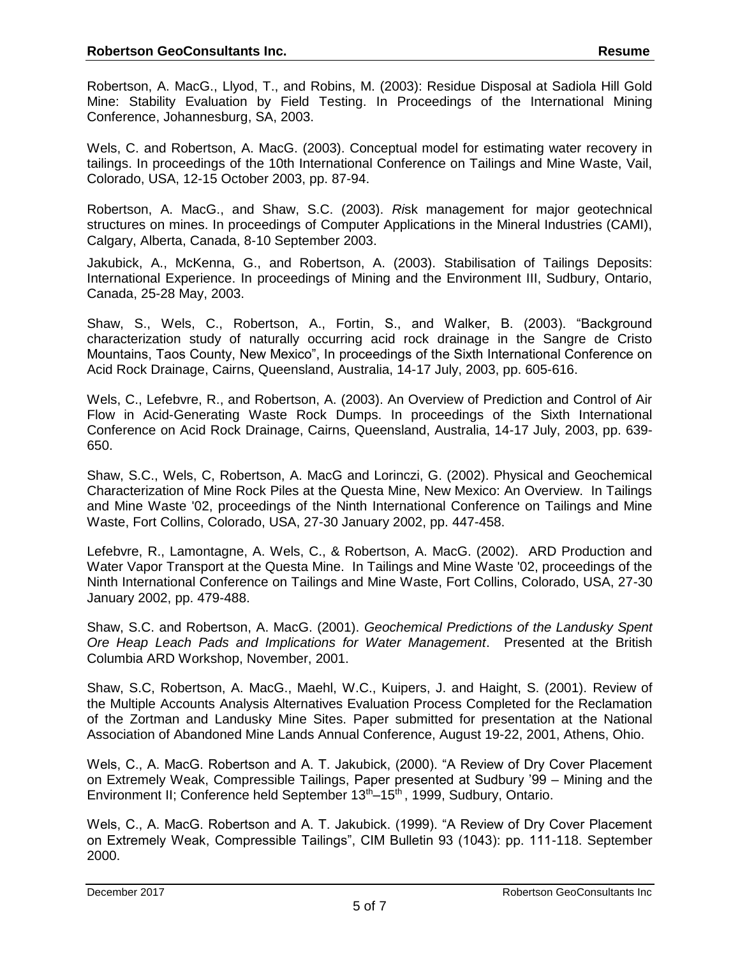Robertson, A. MacG., Llyod, T., and Robins, M. (2003): Residue Disposal at Sadiola Hill Gold Mine: Stability Evaluation by Field Testing. In Proceedings of the International Mining Conference, Johannesburg, SA, 2003.

Wels, C. and Robertson, A. MacG. (2003). Conceptual model for estimating water recovery in tailings. In proceedings of the 10th International Conference on Tailings and Mine Waste, Vail, Colorado, USA, 12-15 October 2003, pp. 87-94.

Robertson, A. MacG., and Shaw, S.C. (2003). *Ri*sk management for major geotechnical structures on mines. In proceedings of Computer Applications in the Mineral Industries (CAMI), Calgary, Alberta, Canada, 8-10 September 2003.

Jakubick, A., McKenna, G., and Robertson, A. (2003). Stabilisation of Tailings Deposits: International Experience. In proceedings of Mining and the Environment III, Sudbury, Ontario, Canada, 25-28 May, 2003.

Shaw, S., Wels, C., Robertson, A., Fortin, S., and Walker, B. (2003). "Background characterization study of naturally occurring acid rock drainage in the Sangre de Cristo Mountains, Taos County, New Mexico", In proceedings of the Sixth International Conference on Acid Rock Drainage, Cairns, Queensland, Australia, 14-17 July, 2003, pp. 605-616.

Wels, C., Lefebvre, R., and Robertson, A. (2003). An Overview of Prediction and Control of Air Flow in Acid-Generating Waste Rock Dumps. In proceedings of the Sixth International Conference on Acid Rock Drainage, Cairns, Queensland, Australia, 14-17 July, 2003, pp. 639- 650.

Shaw, S.C., Wels, C, Robertson, A. MacG and Lorinczi, G. (2002). Physical and Geochemical Characterization of Mine Rock Piles at the Questa Mine, New Mexico: An Overview. In Tailings and Mine Waste '02, proceedings of the Ninth International Conference on Tailings and Mine Waste, Fort Collins, Colorado, USA, 27-30 January 2002, pp. 447-458.

Lefebvre, R., Lamontagne, A. Wels, C., & Robertson, A. MacG. (2002). ARD Production and Water Vapor Transport at the Questa Mine. In Tailings and Mine Waste '02, proceedings of the Ninth International Conference on Tailings and Mine Waste, Fort Collins, Colorado, USA, 27-30 January 2002, pp. 479-488.

Shaw, S.C. and Robertson, A. MacG. (2001). *Geochemical Predictions of the Landusky Spent Ore Heap Leach Pads and Implications for Water Management*. Presented at the British Columbia ARD Workshop, November, 2001.

Shaw, S.C, Robertson, A. MacG., Maehl, W.C., Kuipers, J. and Haight, S. (2001). Review of the Multiple Accounts Analysis Alternatives Evaluation Process Completed for the Reclamation of the Zortman and Landusky Mine Sites. Paper submitted for presentation at the National Association of Abandoned Mine Lands Annual Conference, August 19-22, 2001, Athens, Ohio.

Wels, C., A. MacG. Robertson and A. T. Jakubick, (2000). "A Review of Dry Cover Placement on Extremely Weak, Compressible Tailings, Paper presented at Sudbury '99 – Mining and the Environment II; Conference held September  $13<sup>th</sup>-15<sup>th</sup>$ , 1999, Sudbury, Ontario.

Wels, C., A. MacG. Robertson and A. T. Jakubick. (1999). "A Review of Dry Cover Placement on Extremely Weak, Compressible Tailings", CIM Bulletin 93 (1043): pp. 111-118. September 2000.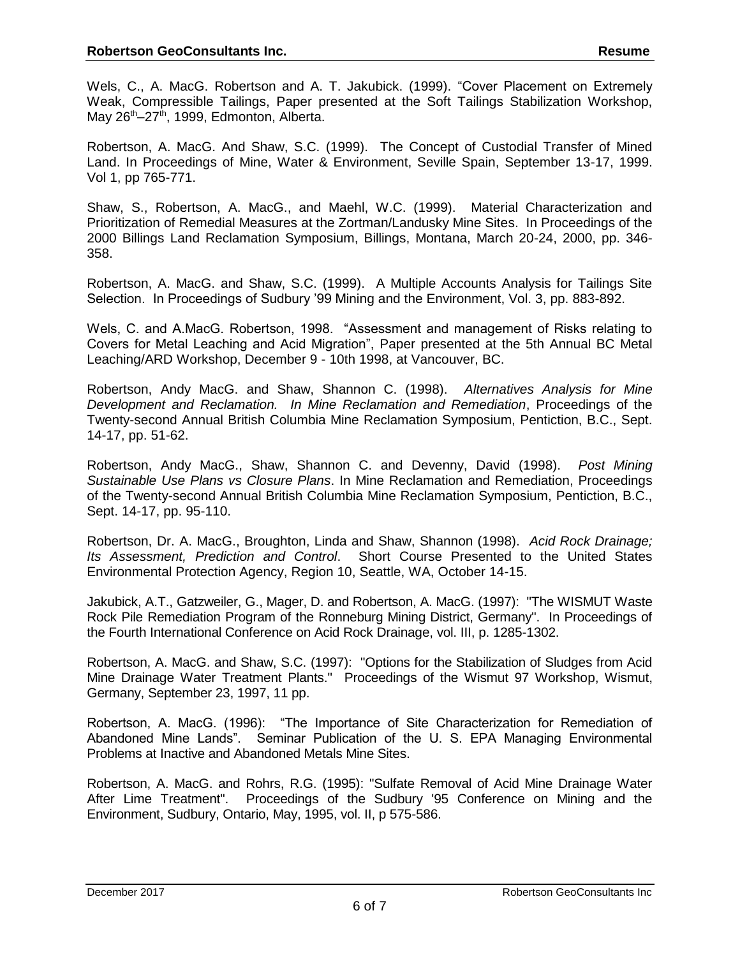Wels, C., A. MacG. Robertson and A. T. Jakubick. (1999). "Cover Placement on Extremely Weak, Compressible Tailings, Paper presented at the Soft Tailings Stabilization Workshop, May 26<sup>th</sup>–27<sup>th</sup>, 1999, Edmonton, Alberta.

Robertson, A. MacG. And Shaw, S.C. (1999). The Concept of Custodial Transfer of Mined Land. In Proceedings of Mine, Water & Environment, Seville Spain, September 13-17, 1999. Vol 1, pp 765-771.

Shaw, S., Robertson, A. MacG., and Maehl, W.C. (1999). Material Characterization and Prioritization of Remedial Measures at the Zortman/Landusky Mine Sites. In Proceedings of the 2000 Billings Land Reclamation Symposium, Billings, Montana, March 20-24, 2000, pp. 346- 358.

Robertson, A. MacG. and Shaw, S.C. (1999). A Multiple Accounts Analysis for Tailings Site Selection. In Proceedings of Sudbury '99 Mining and the Environment, Vol. 3, pp. 883-892.

Wels, C. and A.MacG. Robertson, 1998. "Assessment and management of Risks relating to Covers for Metal Leaching and Acid Migration", Paper presented at the 5th Annual BC Metal Leaching/ARD Workshop, December 9 - 10th 1998, at Vancouver, BC.

Robertson, Andy MacG. and Shaw, Shannon C. (1998). *Alternatives Analysis for Mine Development and Reclamation. In Mine Reclamation and Remediation*, Proceedings of the Twenty-second Annual British Columbia Mine Reclamation Symposium, Pentiction, B.C., Sept. 14-17, pp. 51-62.

Robertson, Andy MacG., Shaw, Shannon C. and Devenny, David (1998). *Post Mining Sustainable Use Plans vs Closure Plans*. In Mine Reclamation and Remediation, Proceedings of the Twenty-second Annual British Columbia Mine Reclamation Symposium, Pentiction, B.C., Sept. 14-17, pp. 95-110.

Robertson, Dr. A. MacG., Broughton, Linda and Shaw, Shannon (1998). *Acid Rock Drainage; Its Assessment, Prediction and Control*. Short Course Presented to the United States Environmental Protection Agency, Region 10, Seattle, WA, October 14-15.

Jakubick, A.T., Gatzweiler, G., Mager, D. and Robertson, A. MacG. (1997): "The WISMUT Waste Rock Pile Remediation Program of the Ronneburg Mining District, Germany". In Proceedings of the Fourth International Conference on Acid Rock Drainage, vol. III, p. 1285-1302.

Robertson, A. MacG. and Shaw, S.C. (1997): "Options for the Stabilization of Sludges from Acid Mine Drainage Water Treatment Plants." Proceedings of the Wismut 97 Workshop, Wismut, Germany, September 23, 1997, 11 pp.

Robertson, A. MacG. (1996): "The Importance of Site Characterization for Remediation of Abandoned Mine Lands". Seminar Publication of the U. S. EPA Managing Environmental Problems at Inactive and Abandoned Metals Mine Sites.

Robertson, A. MacG. and Rohrs, R.G. (1995): "Sulfate Removal of Acid Mine Drainage Water After Lime Treatment". Proceedings of the Sudbury '95 Conference on Mining and the Environment, Sudbury, Ontario, May, 1995, vol. II, p 575-586.